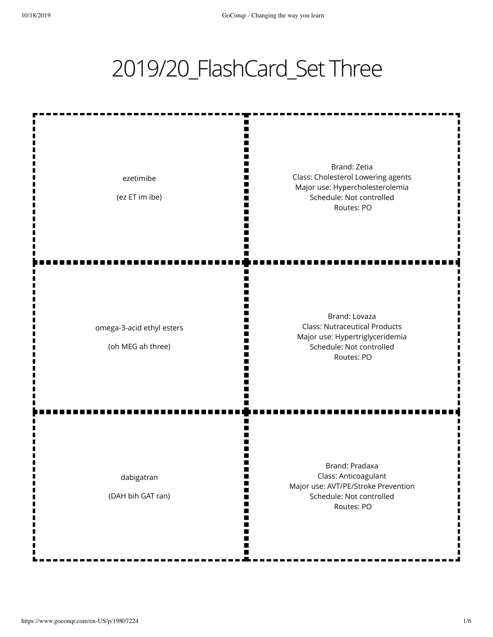## 2019/20\_FlashCard\_Set Three

m Brand: Zetia Class: Cholesterol Lowering agents ezetimibe Major use: Hypercholesterolemia п (ez ET im ibe) Schedule: Not controlled Ш I٢ Routes: PO Ш П Brand: Lovaza Class: Nutraceutical Products omega-3-acid ethyl esters Major use: Hypertriglyceridemia ∎ (oh MEG ah three) Schedule: Not controlled Routes: PO ш Brand: Pradaxa Class: Anticoagulant dabigatran m Major use: AVT/PE/Stroke Prevention (DAH bih GAT ran) Schedule: Not controlled W m Routes: PO M П m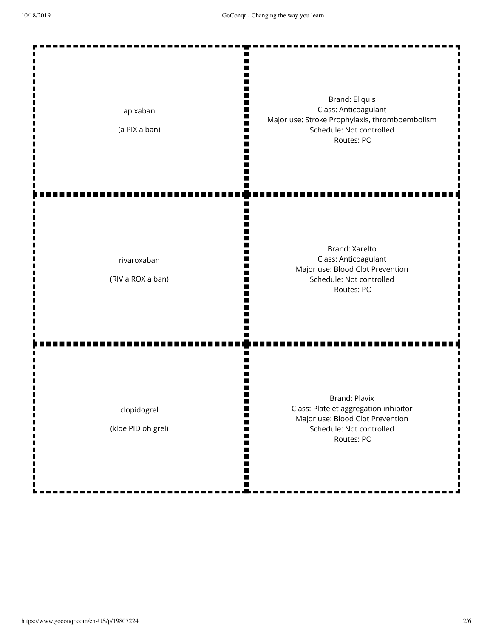| apixaban<br>(a PIX a ban)         | <b>Brand: Eliquis</b><br>Class: Anticoagulant<br>Major use: Stroke Prophylaxis, thromboembolism<br>Schedule: Not controlled<br>Routes: PO   |
|-----------------------------------|---------------------------------------------------------------------------------------------------------------------------------------------|
| rivaroxaban<br>(RIV a ROX a ban)  | Brand: Xarelto<br>Class: Anticoagulant<br>Major use: Blood Clot Prevention<br>Schedule: Not controlled<br>Routes: PO                        |
| clopidogrel<br>(kloe PID oh grel) | <b>Brand: Plavix</b><br>Class: Platelet aggregation inhibitor<br>Major use: Blood Clot Prevention<br>Schedule: Not controlled<br>Routes: PO |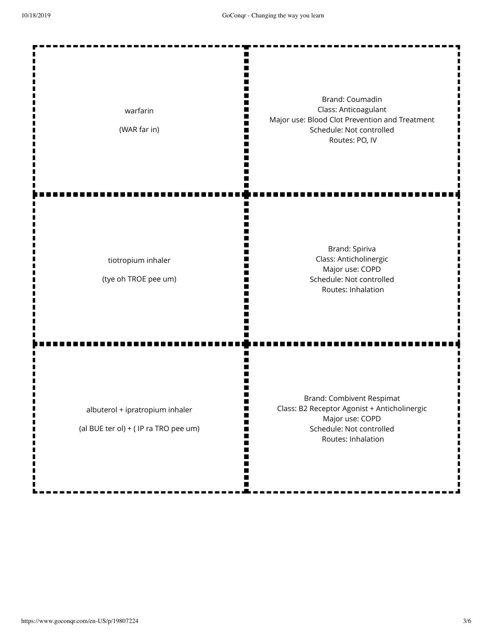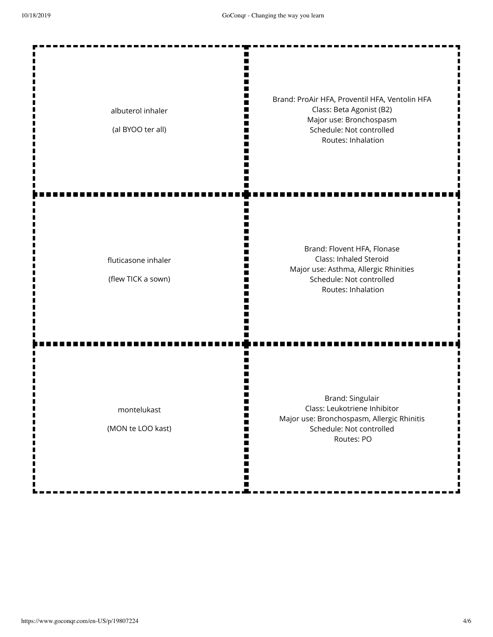$\mathbf{r}$ 

 $\blacksquare$ 

 $\blacksquare$  $\blacksquare$  ---------

------

-------

--------

| albuterol inhaler<br>(al BYOO ter all)    | Brand: ProAir HFA, Proventil HFA, Ventolin HFA<br>Class: Beta Agonist (B2)<br>Major use: Bronchospasm<br>Schedule: Not controlled<br>Routes: Inhalation |
|-------------------------------------------|---------------------------------------------------------------------------------------------------------------------------------------------------------|
| fluticasone inhaler<br>(flew TICK a sown) | Brand: Flovent HFA, Flonase<br>Class: Inhaled Steroid<br>Major use: Asthma, Allergic Rhinities<br>Schedule: Not controlled<br>Routes: Inhalation        |
| montelukast<br>(MON te LOO kast)          | Brand: Singulair<br>Class: Leukotriene Inhibitor<br>Major use: Bronchospasm, Allergic Rhinitis<br>Schedule: Not controlled<br>Routes: PO                |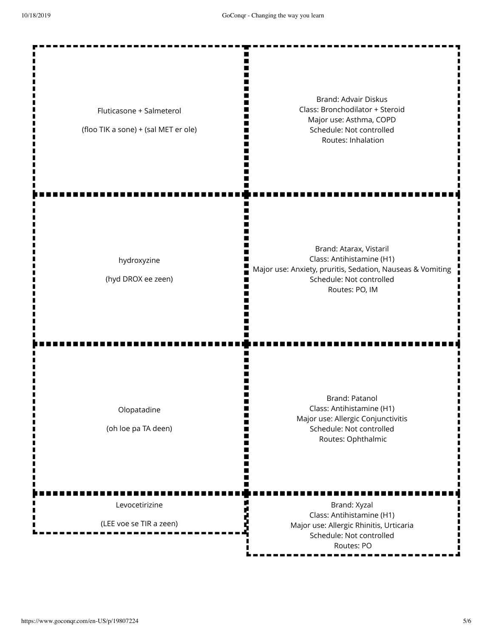| Fluticasone + Salmeterol<br>(floo TIK a sone) + (sal MET er ole) | <b>Brand: Advair Diskus</b><br>Class: Bronchodilator + Steroid<br>Major use: Asthma, COPD<br>Schedule: Not controlled<br>Routes: Inhalation                      |
|------------------------------------------------------------------|------------------------------------------------------------------------------------------------------------------------------------------------------------------|
| hydroxyzine<br>(hyd DROX ee zeen)                                | Brand: Atarax, Vistaril<br>Class: Antihistamine (H1)<br>Major use: Anxiety, pruritis, Sedation, Nauseas & Vomiting<br>Schedule: Not controlled<br>Routes: PO, IM |
| Olopatadine<br>(oh loe pa TA deen)                               | Brand: Patanol<br>Class: Antihistamine (H1)<br>Major use: Allergic Conjunctivitis<br>Schedule: Not controlled<br>Routes: Ophthalmic                              |
| Levocetirizine<br>(LEE voe se TIR a zeen)                        | Brand: Xyzal<br>Class: Antihistamine (H1)<br>Major use: Allergic Rhinitis, Urticaria<br>Schedule: Not controlled<br>Routes: PO                                   |